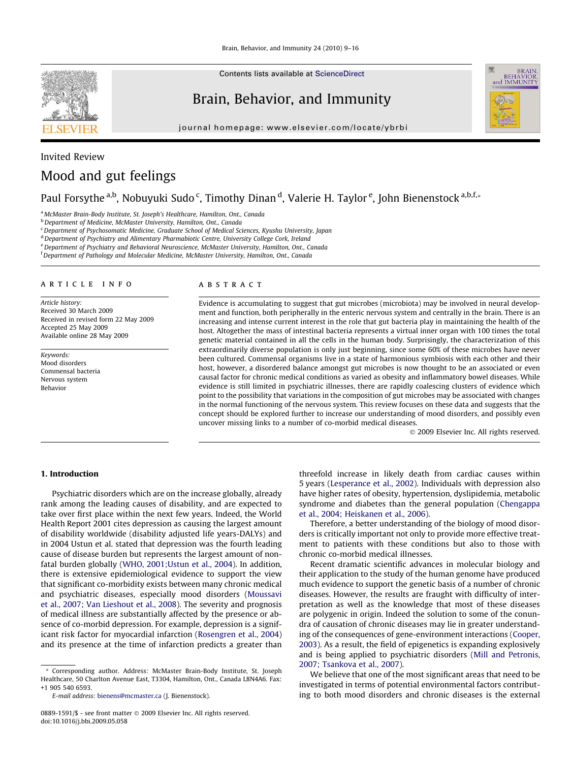

Contents lists available at [ScienceDirect](http://www.sciencedirect.com/science/journal/08891591)

# Brain, Behavior, and Immunity

journal homepage: [www.elsevier.com/locate/ybrbi](http://www.elsevier.com/locate/ybrbi)



# Invited Review Mood and gut feelings

Paul Forsythe <sup>a,b</sup>, Nobuyuki Sudo <sup>c</sup>, Timothy Dinan <sup>d</sup>, Valerie H. Taylor <sup>e</sup>, John Bienenstock <sup>a,b,f,</sup>\*

<sup>a</sup> McMaster Brain-Body Institute, St. Joseph's Healthcare, Hamilton, Ont., Canada

**b** Department of Medicine, McMaster University, Hamilton, Ont., Canada

<sup>c</sup> Department of Psychosomatic Medicine, Graduate School of Medical Sciences, Kyushu University, Japan

<sup>d</sup> Department of Psychiatry and Alimentary Pharmabiotic Centre, University College Cork, Ireland

e Department of Psychiatry and Behavioral Neuroscience, McMaster University, Hamilton, Ont., Canada

<sup>f</sup> Department of Pathology and Molecular Medicine, McMaster University, Hamilton, Ont., Canada

#### article info

Article history: Received 30 March 2009 Received in revised form 22 May 2009 Accepted 25 May 2009 Available online 28 May 2009

Keywords: Mood disorders Commensal bacteria Nervous system Behavior

# ABSTRACT

Evidence is accumulating to suggest that gut microbes (microbiota) may be involved in neural development and function, both peripherally in the enteric nervous system and centrally in the brain. There is an increasing and intense current interest in the role that gut bacteria play in maintaining the health of the host. Altogether the mass of intestinal bacteria represents a virtual inner organ with 100 times the total genetic material contained in all the cells in the human body. Surprisingly, the characterization of this extraordinarily diverse population is only just beginning, since some 60% of these microbes have never been cultured. Commensal organisms live in a state of harmonious symbiosis with each other and their host, however, a disordered balance amongst gut microbes is now thought to be an associated or even causal factor for chronic medical conditions as varied as obesity and inflammatory bowel diseases. While evidence is still limited in psychiatric illnesses, there are rapidly coalescing clusters of evidence which point to the possibility that variations in the composition of gut microbes may be associated with changes in the normal functioning of the nervous system. This review focuses on these data and suggests that the concept should be explored further to increase our understanding of mood disorders, and possibly even uncover missing links to a number of co-morbid medical diseases.

- 2009 Elsevier Inc. All rights reserved.

#### 1. Introduction

Psychiatric disorders which are on the increase globally, already rank among the leading causes of disability, and are expected to take over first place within the next few years. Indeed, the World Health Report 2001 cites depression as causing the largest amount of disability worldwide (disability adjusted life years-DALYs) and in 2004 Ustun et al. stated that depression was the fourth leading cause of disease burden but represents the largest amount of nonfatal burden globally ([WHO, 2001;Ustun et al., 2004](#page-7-0)). In addition, there is extensive epidemiological evidence to support the view that significant co-morbidity exists between many chronic medical and psychiatric diseases, especially mood disorders ([Moussavi](#page-6-0) [et al., 2007; Van Lieshout et al., 2008\)](#page-6-0). The severity and prognosis of medical illness are substantially affected by the presence or absence of co-morbid depression. For example, depression is a significant risk factor for myocardial infarction [\(Rosengren et al., 2004\)](#page-6-0) and its presence at the time of infarction predicts a greater than

\* Corresponding author. Address: McMaster Brain-Body Institute, St. Joseph Healthcare, 50 Charlton Avenue East, T3304, Hamilton, Ont., Canada L8N4A6. Fax: +1 905 540 6593.

E-mail address: [bienens@mcmaster.ca](mailto:bienens@mcmaster.ca) (J. Bienenstock).

threefold increase in likely death from cardiac causes within 5 years [\(Lesperance et al., 2002](#page-6-0)). Individuals with depression also have higher rates of obesity, hypertension, dyslipidemia, metabolic syndrome and diabetes than the general population ([Chengappa](#page-5-0) [et al., 2004; Heiskanen et al., 2006](#page-5-0)).

Therefore, a better understanding of the biology of mood disorders is critically important not only to provide more effective treatment to patients with these conditions but also to those with chronic co-morbid medical illnesses.

Recent dramatic scientific advances in molecular biology and their application to the study of the human genome have produced much evidence to support the genetic basis of a number of chronic diseases. However, the results are fraught with difficulty of interpretation as well as the knowledge that most of these diseases are polygenic in origin. Indeed the solution to some of the conundra of causation of chronic diseases may lie in greater understanding of the consequences of gene-environment interactions [\(Cooper,](#page-5-0) [2003](#page-5-0)). As a result, the field of epigenetics is expanding explosively and is being applied to psychiatric disorders [\(Mill and Petronis,](#page-6-0) [2007; Tsankova et al., 2007\)](#page-6-0).

We believe that one of the most significant areas that need to be investigated in terms of potential environmental factors contributing to both mood disorders and chronic diseases is the external

<sup>0889-1591/\$ -</sup> see front matter © 2009 Elsevier Inc. All rights reserved. doi:10.1016/j.bbi.2009.05.058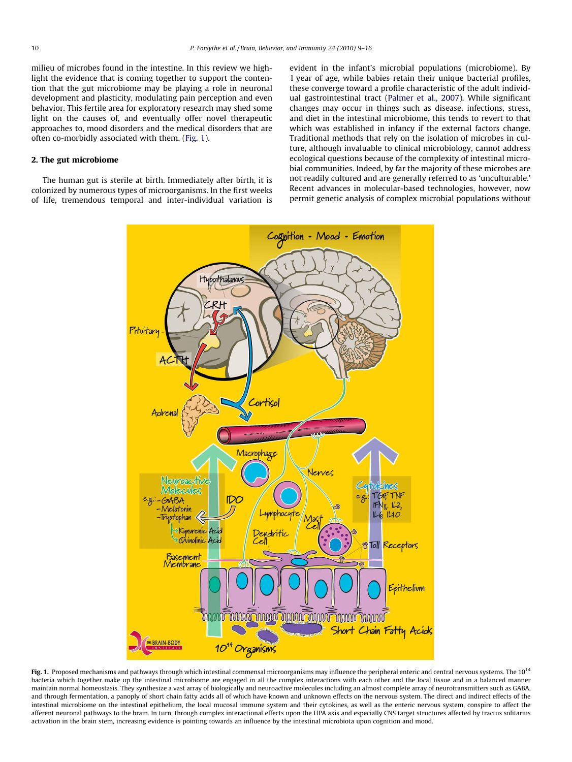milieu of microbes found in the intestine. In this review we highlight the evidence that is coming together to support the contention that the gut microbiome may be playing a role in neuronal development and plasticity, modulating pain perception and even behavior. This fertile area for exploratory research may shed some light on the causes of, and eventually offer novel therapeutic approaches to, mood disorders and the medical disorders that are often co-morbidly associated with them. (Fig. 1).

## 2. The gut microbiome

The human gut is sterile at birth. Immediately after birth, it is colonized by numerous types of microorganisms. In the first weeks of life, tremendous temporal and inter-individual variation is

evident in the infant's microbial populations (microbiome). By 1 year of age, while babies retain their unique bacterial profiles, these converge toward a profile characteristic of the adult individual gastrointestinal tract [\(Palmer et al., 2007](#page-6-0)). While significant changes may occur in things such as disease, infections, stress, and diet in the intestinal microbiome, this tends to revert to that which was established in infancy if the external factors change. Traditional methods that rely on the isolation of microbes in culture, although invaluable to clinical microbiology, cannot address ecological questions because of the complexity of intestinal microbial communities. Indeed, by far the majority of these microbes are not readily cultured and are generally referred to as 'unculturable.' Recent advances in molecular-based technologies, however, now permit genetic analysis of complex microbial populations without



Fig. 1. Proposed mechanisms and pathways through which intestinal commensal microorganisms may influence the peripheral enteric and central nervous systems. The 10<sup>14</sup> bacteria which together make up the intestinal microbiome are engaged in all the complex interactions with each other and the local tissue and in a balanced manner maintain normal homeostasis. They synthesize a vast array of biologically and neuroactive molecules including an almost complete array of neurotransmitters such as GABA, and through fermentation, a panoply of short chain fatty acids all of which have known and unknown effects on the nervous system. The direct and indirect effects of the intestinal microbiome on the intestinal epithelium, the local mucosal immune system and their cytokines, as well as the enteric nervous system, conspire to affect the afferent neuronal pathways to the brain. In turn, through complex interactional effects upon the HPA axis and especially CNS target structures affected by tractus solitarius activation in the brain stem, increasing evidence is pointing towards an influence by the intestinal microbiota upon cognition and mood.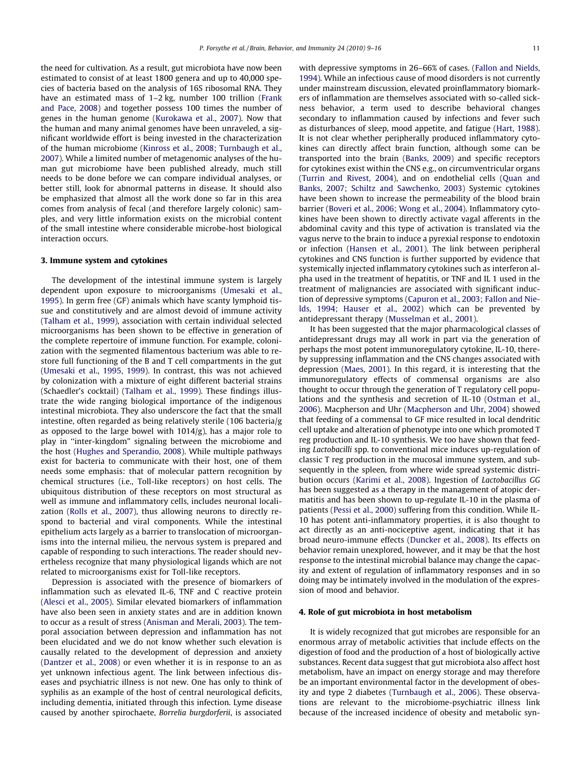the need for cultivation. As a result, gut microbiota have now been estimated to consist of at least 1800 genera and up to 40,000 species of bacteria based on the analysis of 16S ribosomal RNA. They have an estimated mass of 1–2 kg, number 100 trillion [\(Frank](#page-6-0) [and Pace, 2008\)](#page-6-0) and together possess 100 times the number of genes in the human genome [\(Kurokawa et al., 2007](#page-6-0)). Now that the human and many animal genomes have been unraveled, a significant worldwide effort is being invested in the characterization of the human microbiome [\(Kinross et al., 2008; Turnbaugh et al.,](#page-6-0) [2007](#page-6-0)). While a limited number of metagenomic analyses of the human gut microbiome have been published already, much still needs to be done before we can compare individual analyses, or better still, look for abnormal patterns in disease. It should also be emphasized that almost all the work done so far in this area comes from analysis of fecal (and therefore largely colonic) samples, and very little information exists on the microbial content of the small intestine where considerable microbe-host biological interaction occurs.

#### 3. Immune system and cytokines

The development of the intestinal immune system is largely dependent upon exposure to microorganisms [\(Umesaki et al.,](#page-7-0) [1995\)](#page-7-0). In germ free (GF) animals which have scanty lymphoid tissue and constitutively and are almost devoid of immune activity ([Talham et al., 1999\)](#page-7-0), association with certain individual selected microorganisms has been shown to be effective in generation of the complete repertoire of immune function. For example, colonization with the segmented filamentous bacterium was able to restore full functioning of the B and T cell compartments in the gut ([Umesaki et al., 1995, 1999](#page-7-0)). In contrast, this was not achieved by colonization with a mixture of eight different bacterial strains (Schaedler's cocktail) [\(Talham et al., 1999](#page-7-0)). These findings illustrate the wide ranging biological importance of the indigenous intestinal microbiota. They also underscore the fact that the small intestine, often regarded as being relatively sterile (106 bacteria/g as opposed to the large bowel with 1014/g), has a major role to play in ''inter-kingdom" signaling between the microbiome and the host ([Hughes and Sperandio, 2008](#page-6-0)). While multiple pathways exist for bacteria to communicate with their host, one of them needs some emphasis: that of molecular pattern recognition by chemical structures (i.e., Toll-like receptors) on host cells. The ubiquitous distribution of these receptors on most structural as well as immune and inflammatory cells, includes neuronal localization ([Rolls et al., 2007\)](#page-6-0), thus allowing neurons to directly respond to bacterial and viral components. While the intestinal epithelium acts largely as a barrier to translocation of microorganisms into the internal milieu, the nervous system is prepared and capable of responding to such interactions. The reader should nevertheless recognize that many physiological ligands which are not related to microorganisms exist for Toll-like receptors.

Depression is associated with the presence of biomarkers of inflammation such as elevated IL-6, TNF and C reactive protein ([Alesci et al., 2005\)](#page-5-0). Similar elevated biomarkers of inflammation have also been seen in anxiety states and are in addition known to occur as a result of stress ([Anisman and Merali, 2003](#page-5-0)). The temporal association between depression and inflammation has not been elucidated and we do not know whether such elevation is causally related to the development of depression and anxiety ([Dantzer et al., 2008](#page-5-0)) or even whether it is in response to an as yet unknown infectious agent. The link between infectious diseases and psychiatric illness is not new. One has only to think of syphilis as an example of the host of central neurological deficits, including dementia, initiated through this infection. Lyme disease caused by another spirochaete, Borrelia burgdorferii, is associated

with depressive symptoms in 26–66% of cases. ([Fallon and Nields,](#page-6-0) [1994\)](#page-6-0). While an infectious cause of mood disorders is not currently under mainstream discussion, elevated proinflammatory biomarkers of inflammation are themselves associated with so-called sickness behavior, a term used to describe behavioral changes secondary to inflammation caused by infections and fever such as disturbances of sleep, mood appetite, and fatigue [\(Hart, 1988\)](#page-6-0). It is not clear whether peripherally produced inflammatory cytokines can directly affect brain function, although some can be transported into the brain [\(Banks, 2009\)](#page-5-0) and specific receptors for cytokines exist within the CNS e.g., on circumventricular organs ([Turrin and Rivest, 2004\)](#page-7-0), and on endothelial cells ([Quan and](#page-6-0) [Banks, 2007; Schiltz and Sawchenko, 2003](#page-6-0)) Systemic cytokines have been shown to increase the permeability of the blood brain barrier ([Boveri et al., 2006; Wong et al., 2004\)](#page-5-0). Inflammatory cytokines have been shown to directly activate vagal afferents in the abdominal cavity and this type of activation is translated via the vagus nerve to the brain to induce a pyrexial response to endotoxin or infection [\(Hansen et al., 2001](#page-6-0)). The link between peripheral cytokines and CNS function is further supported by evidence that systemically injected inflammatory cytokines such as interferon alpha used in the treatment of hepatitis, or TNF and IL 1 used in the treatment of malignancies are associated with significant induction of depressive symptoms [\(Capuron et al., 2003; Fallon and Nie](#page-5-0)[lds, 1994; Hauser et al., 2002](#page-5-0)) which can be prevented by antidepressant therapy ([Musselman et al., 2001\)](#page-6-0).

It has been suggested that the major pharmacological classes of antidepressant drugs may all work in part via the generation of perhaps the most potent immunoregulatory cytokine, IL-10, thereby suppressing inflammation and the CNS changes associated with depression ([Maes, 2001\)](#page-6-0). In this regard, it is interesting that the immunoregulatory effects of commensal organisms are also thought to occur through the generation of T regulatory cell populations and the synthesis and secretion of IL-10 ([Ostman et al.,](#page-6-0) [2006](#page-6-0)). Macpherson and Uhr ([Macpherson and Uhr, 2004\)](#page-6-0) showed that feeding of a commensal to GF mice resulted in local dendritic cell uptake and alteration of phenotype into one which promoted T reg production and IL-10 synthesis. We too have shown that feeding Lactobacilli spp. to conventional mice induces up-regulation of classic T reg production in the mucosal immune system, and subsequently in the spleen, from where wide spread systemic distribution occurs ([Karimi et al., 2008\)](#page-6-0). Ingestion of Lactobacillus GG has been suggested as a therapy in the management of atopic dermatitis and has been shown to up-regulate IL-10 in the plasma of patients [\(Pessi et al., 2000\)](#page-6-0) suffering from this condition. While IL-10 has potent anti-inflammatory properties, it is also thought to act directly as an anti-nociceptive agent, indicating that it has broad neuro-immune effects [\(Duncker et al., 2008\)](#page-5-0). Its effects on behavior remain unexplored, however, and it may be that the host response to the intestinal microbial balance may change the capacity and extent of regulation of inflammatory responses and in so doing may be intimately involved in the modulation of the expression of mood and behavior.

#### 4. Role of gut microbiota in host metabolism

It is widely recognized that gut microbes are responsible for an enormous array of metabolic activities that include effects on the digestion of food and the production of a host of biologically active substances. Recent data suggest that gut microbiota also affect host metabolism, have an impact on energy storage and may therefore be an important environmental factor in the development of obesity and type 2 diabetes ([Turnbaugh et al., 2006\)](#page-7-0). These observations are relevant to the microbiome-psychiatric illness link because of the increased incidence of obesity and metabolic syn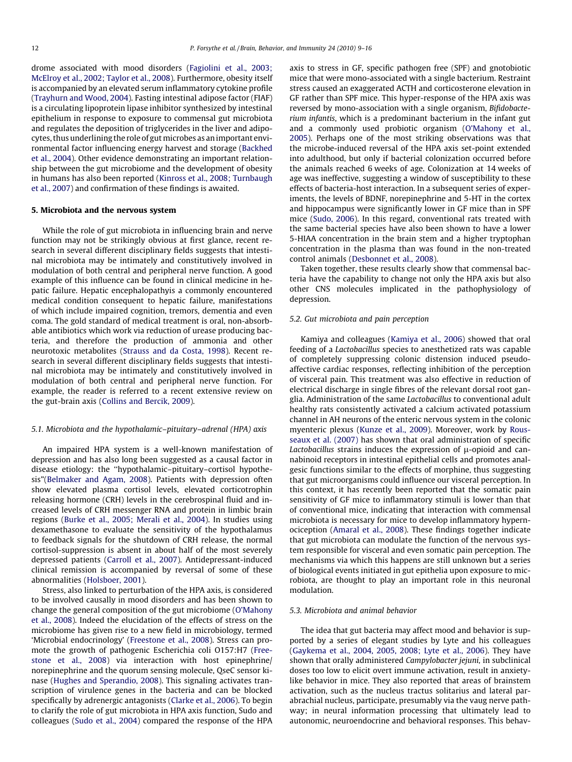drome associated with mood disorders [\(Fagiolini et al., 2003;](#page-6-0) [McElroy et al., 2002; Taylor et al., 2008](#page-6-0)). Furthermore, obesity itself is accompanied by an elevated serum inflammatory cytokine profile ([Trayhurn and Wood, 2004\)](#page-7-0). Fasting intestinal adipose factor (FIAF) is a circulating lipoprotein lipase inhibitor synthesized by intestinal epithelium in response to exposure to commensal gut microbiota and regulates the deposition of triglycerides in the liver and adipocytes, thus underlining the role of gutmicrobes as an important environmental factor influencing energy harvest and storage [\(Backhed](#page-5-0) [et al., 2004](#page-5-0)). Other evidence demonstrating an important relationship between the gut microbiome and the development of obesity in humans has also been reported ([Kinross et al., 2008; Turnbaugh](#page-6-0) [et al., 2007](#page-6-0)) and confirmation of these findings is awaited.

### 5. Microbiota and the nervous system

While the role of gut microbiota in influencing brain and nerve function may not be strikingly obvious at first glance, recent research in several different disciplinary fields suggests that intestinal microbiota may be intimately and constitutively involved in modulation of both central and peripheral nerve function. A good example of this influence can be found in clinical medicine in hepatic failure. Hepatic encephalopathyis a commonly encountered medical condition consequent to hepatic failure, manifestations of which include impaired cognition, tremors, dementia and even coma. The gold standard of medical treatment is oral, non-absorbable antibiotics which work via reduction of urease producing bacteria, and therefore the production of ammonia and other neurotoxic metabolites [\(Strauss and da Costa, 1998\)](#page-7-0). Recent research in several different disciplinary fields suggests that intestinal microbiota may be intimately and constitutively involved in modulation of both central and peripheral nerve function. For example, the reader is referred to a recent extensive review on the gut-brain axis [\(Collins and Bercik, 2009](#page-5-0)).

#### 5.1. Microbiota and the hypothalamic–pituitary–adrenal (HPA) axis

An impaired HPA system is a well-known manifestation of depression and has also long been suggested as a causal factor in disease etiology: the ''hypothalamic–pituitary–cortisol hypothesis"[\(Belmaker and Agam, 2008\)](#page-5-0). Patients with depression often show elevated plasma cortisol levels, elevated corticotrophin releasing hormone (CRH) levels in the cerebrospinal fluid and increased levels of CRH messenger RNA and protein in limbic brain regions ([Burke et al., 2005; Merali et al., 2004\)](#page-5-0). In studies using dexamethasone to evaluate the sensitivity of the hypothalamus to feedback signals for the shutdown of CRH release, the normal cortisol-suppression is absent in about half of the most severely depressed patients ([Carroll et al., 2007\)](#page-5-0). Antidepressant-induced clinical remission is accompanied by reversal of some of these abnormalities [\(Holsboer, 2001\)](#page-6-0).

Stress, also linked to perturbation of the HPA axis, is considered to be involved causally in mood disorders and has been shown to change the general composition of the gut microbiome [\(O'Mahony](#page-6-0) [et al., 2008](#page-6-0)). Indeed the elucidation of the effects of stress on the microbiome has given rise to a new field in microbiology, termed 'Microbial endocrinology' ([Freestone et al., 2008](#page-6-0)). Stress can promote the growth of pathogenic Escherichia coli O157:H7 [\(Free](#page-6-0)[stone et al., 2008](#page-6-0)) via interaction with host epinephrine/ norepinephrine and the quorum sensing molecule, QseC sensor kinase ([Hughes and Sperandio, 2008](#page-6-0)). This signaling activates transcription of virulence genes in the bacteria and can be blocked specifically by adrenergic antagonists [\(Clarke et al., 2006\)](#page-5-0). To begin to clarify the role of gut microbiota in HPA axis function, Sudo and colleagues [\(Sudo et al., 2004\)](#page-7-0) compared the response of the HPA axis to stress in GF, specific pathogen free (SPF) and gnotobiotic mice that were mono-associated with a single bacterium. Restraint stress caused an exaggerated ACTH and corticosterone elevation in GF rather than SPF mice. This hyper-response of the HPA axis was reversed by mono-association with a single organism, Bifidobacterium infantis, which is a predominant bacterium in the infant gut and a commonly used probiotic organism ([O'Mahony et al.,](#page-6-0) [2005\)](#page-6-0). Perhaps one of the most striking observations was that the microbe-induced reversal of the HPA axis set-point extended into adulthood, but only if bacterial colonization occurred before the animals reached 6 weeks of age. Colonization at 14 weeks of age was ineffective, suggesting a window of susceptibility to these effects of bacteria-host interaction. In a subsequent series of experiments, the levels of BDNF, norepinephrine and 5-HT in the cortex and hippocampus were significantly lower in GF mice than in SPF mice [\(Sudo, 2006](#page-7-0)). In this regard, conventional rats treated with the same bacterial species have also been shown to have a lower 5-HIAA concentration in the brain stem and a higher tryptophan concentration in the plasma than was found in the non-treated control animals ([Desbonnet et al., 2008\)](#page-5-0).

Taken together, these results clearly show that commensal bacteria have the capability to change not only the HPA axis but also other CNS molecules implicated in the pathophysiology of depression.

#### 5.2. Gut microbiota and pain perception

Kamiya and colleagues [\(Kamiya et al., 2006](#page-6-0)) showed that oral feeding of a Lactobacillus species to anesthetized rats was capable of completely suppressing colonic distension induced pseudoaffective cardiac responses, reflecting inhibition of the perception of visceral pain. This treatment was also effective in reduction of electrical discharge in single fibres of the relevant dorsal root ganglia. Administration of the same Lactobacillus to conventional adult healthy rats consistently activated a calcium activated potassium channel in AH neurons of the enteric nervous system in the colonic myenteric plexus ([Kunze et al., 2009](#page-6-0)). Moreover, work by [Rous](#page-6-0)[seaux et al. \(2007\)](#page-6-0) has shown that oral administration of specific Lactobacillus strains induces the expression of  $\mu$ -opioid and cannabinoid receptors in intestinal epithelial cells and promotes analgesic functions similar to the effects of morphine, thus suggesting that gut microorganisms could influence our visceral perception. In this context, it has recently been reported that the somatic pain sensitivity of GF mice to inflammatory stimuli is lower than that of conventional mice, indicating that interaction with commensal microbiota is necessary for mice to develop inflammatory hypernociception [\(Amaral et al., 2008\)](#page-5-0). These findings together indicate that gut microbiota can modulate the function of the nervous system responsible for visceral and even somatic pain perception. The mechanisms via which this happens are still unknown but a series of biological events initiated in gut epithelia upon exposure to microbiota, are thought to play an important role in this neuronal modulation.

# 5.3. Microbiota and animal behavior

The idea that gut bacteria may affect mood and behavior is supported by a series of elegant studies by Lyte and his colleagues ([Gaykema et al., 2004, 2005, 2008; Lyte et al., 2006\)](#page-6-0). They have shown that orally administered Campylobacter jejuni, in subclinical doses too low to elicit overt immune activation, result in anxietylike behavior in mice. They also reported that areas of brainstem activation, such as the nucleus tractus solitarius and lateral parabrachial nucleus, participate, presumably via the vaug nerve pathway; in neural information processing that ultimately lead to autonomic, neuroendocrine and behavioral responses. This behav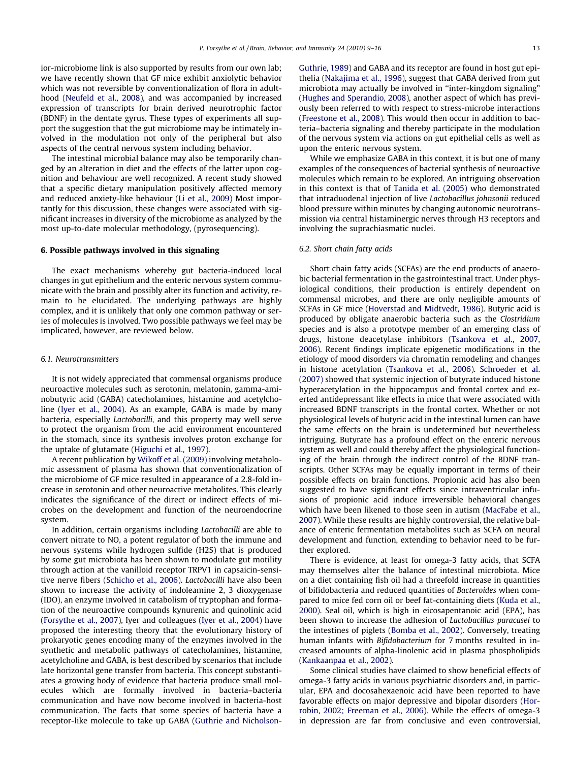ior-microbiome link is also supported by results from our own lab; we have recently shown that GF mice exhibit anxiolytic behavior which was not reversible by conventionalization of flora in adulthood [\(Neufeld et al., 2008\)](#page-6-0), and was accompanied by increased expression of transcripts for brain derived neurotrophic factor (BDNF) in the dentate gyrus. These types of experiments all support the suggestion that the gut microbiome may be intimately involved in the modulation not only of the peripheral but also aspects of the central nervous system including behavior.

The intestinal microbial balance may also be temporarily changed by an alteration in diet and the effects of the latter upon cognition and behaviour are well recognized. A recent study showed that a specific dietary manipulation positively affected memory and reduced anxiety-like behaviour ([Li et al., 2009](#page-6-0)) Most importantly for this discussion, these changes were associated with significant increases in diversity of the microbiome as analyzed by the most up-to-date molecular methodology, (pyrosequencing).

#### 6. Possible pathways involved in this signaling

The exact mechanisms whereby gut bacteria-induced local changes in gut epithelium and the enteric nervous system communicate with the brain and possibly alter its function and activity, remain to be elucidated. The underlying pathways are highly complex, and it is unlikely that only one common pathway or series of molecules is involved. Two possible pathways we feel may be implicated, however, are reviewed below.

#### 6.1. Neurotransmitters

It is not widely appreciated that commensal organisms produce neuroactive molecules such as serotonin, melatonin, gamma-aminobutyric acid (GABA) catecholamines, histamine and acetylcholine ([Iyer et al., 2004\)](#page-6-0). As an example, GABA is made by many bacteria, especially Lactobacilli, and this property may well serve to protect the organism from the acid environment encountered in the stomach, since its synthesis involves proton exchange for the uptake of glutamate ([Higuchi et al., 1997](#page-6-0)).

A recent publication by [Wikoff et al. \(2009\)](#page-7-0) involving metabolomic assessment of plasma has shown that conventionalization of the microbiome of GF mice resulted in appearance of a 2.8-fold increase in serotonin and other neuroactive metabolites. This clearly indicates the significance of the direct or indirect effects of microbes on the development and function of the neuroendocrine system.

In addition, certain organisms including Lactobacilli are able to convert nitrate to NO, a potent regulator of both the immune and nervous systems while hydrogen sulfide (H2S) that is produced by some gut microbiota has been shown to modulate gut motility through action at the vanilloid receptor TRPV1 in capsaicin-sensitive nerve fibers ([Schicho et al., 2006](#page-6-0)). Lactobacilli have also been shown to increase the activity of indoleamine 2, 3 dioxygenase (IDO), an enzyme involved in catabolism of tryptophan and formation of the neuroactive compounds kynurenic and quinolinic acid ([Forsythe et al., 2007](#page-6-0)), Iyer and colleagues [\(Iyer et al., 2004\)](#page-6-0) have proposed the interesting theory that the evolutionary history of prokaryotic genes encoding many of the enzymes involved in the synthetic and metabolic pathways of catecholamines, histamine, acetylcholine and GABA, is best described by scenarios that include late horizontal gene transfer from bacteria. This concept substantiates a growing body of evidence that bacteria produce small molecules which are formally involved in bacteria–bacteria communication and have now become involved in bacteria-host communication. The facts that some species of bacteria have a receptor-like molecule to take up GABA [\(Guthrie and Nicholson-](#page-6-0) [Guthrie, 1989](#page-6-0)) and GABA and its receptor are found in host gut epithelia ([Nakajima et al., 1996\)](#page-6-0), suggest that GABA derived from gut microbiota may actually be involved in ''inter-kingdom signaling" ([Hughes and Sperandio, 2008](#page-6-0)), another aspect of which has previously been referred to with respect to stress-microbe interactions ([Freestone et al., 2008\)](#page-6-0). This would then occur in addition to bacteria–bacteria signaling and thereby participate in the modulation of the nervous system via actions on gut epithelial cells as well as upon the enteric nervous system.

While we emphasize GABA in this context, it is but one of many examples of the consequences of bacterial synthesis of neuroactive molecules which remain to be explored. An intriguing observation in this context is that of Tanida et [al. \(2005\)](#page-7-0) who demonstrated that intraduodenal injection of live Lactobacillus johnsonii reduced blood pressure within minutes by changing autonomic neurotransmission via central histaminergic nerves through H3 receptors and involving the suprachiasmatic nuclei.

#### 6.2. Short chain fatty acids

Short chain fatty acids (SCFAs) are the end products of anaerobic bacterial fermentation in the gastrointestinal tract. Under physiological conditions, their production is entirely dependent on commensal microbes, and there are only negligible amounts of SCFAs in GF mice ([Hoverstad and Midtvedt, 1986](#page-6-0)). Butyric acid is produced by obligate anaerobic bacteria such as the Clostridium species and is also a prototype member of an emerging class of drugs, histone deacetylase inhibitors [\(Tsankova et al., 2007,](#page-7-0) [2006](#page-7-0)). Recent findings implicate epigenetic modifications in the etiology of mood disorders via chromatin remodeling and changes in histone acetylation [\(Tsankova et al., 2006\)](#page-7-0). [Schroeder et al.](#page-7-0) [\(2007\)](#page-7-0) showed that systemic injection of butyrate induced histone hyperacetylation in the hippocampus and frontal cortex and exerted antidepressant like effects in mice that were associated with increased BDNF transcripts in the frontal cortex. Whether or not physiological levels of butyric acid in the intestinal lumen can have the same effects on the brain is undetermined but nevertheless intriguing. Butyrate has a profound effect on the enteric nervous system as well and could thereby affect the physiological functioning of the brain through the indirect control of the BDNF transcripts. Other SCFAs may be equally important in terms of their possible effects on brain functions. Propionic acid has also been suggested to have significant effects since intraventricular infusions of propionic acid induce irreversible behavioral changes which have been likened to those seen in autism ([MacFabe et al.,](#page-6-0) [2007](#page-6-0)). While these results are highly controversial, the relative balance of enteric fermentation metabolites such as SCFA on neural development and function, extending to behavior need to be further explored.

There is evidence, at least for omega-3 fatty acids, that SCFA may themselves alter the balance of intestinal microbiota. Mice on a diet containing fish oil had a threefold increase in quantities of bifidobacteria and reduced quantities of Bacteroides when compared to mice fed corn oil or beef fat-containing diets [\(Kuda et al.,](#page-6-0) [2000](#page-6-0)). Seal oil, which is high in eicosapentanoic acid (EPA), has been shown to increase the adhesion of Lactobacillus paracasei to the intestines of piglets ([Bomba et al., 2002\)](#page-5-0). Conversely, treating human infants with Bifidobacterium for 7 months resulted in increased amounts of alpha-linolenic acid in plasma phospholipids ([Kankaanpaa et al., 2002](#page-6-0)).

Some clinical studies have claimed to show beneficial effects of omega-3 fatty acids in various psychiatric disorders and, in particular, EPA and docosahexaenoic acid have been reported to have favorable effects on major depressive and bipolar disorders [\(Hor](#page-6-0)[robin, 2002; Freeman et al., 2006](#page-6-0)). While the effects of omega-3 in depression are far from conclusive and even controversial,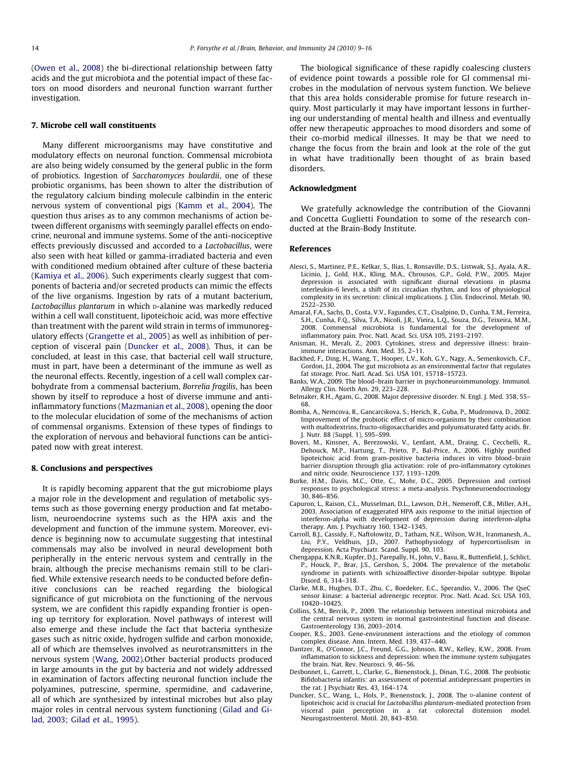<span id="page-5-0"></span>([Owen et al., 2008\)](#page-6-0) the bi-directional relationship between fatty acids and the gut microbiota and the potential impact of these factors on mood disorders and neuronal function warrant further investigation.

#### 7. Microbe cell wall constituents

Many different microorganisms may have constitutive and modulatory effects on neuronal function. Commensal microbiota are also being widely consumed by the general public in the form of probiotics. Ingestion of Saccharomyces boulardii, one of these probiotic organisms, has been shown to alter the distribution of the regulatory calcium binding molecule calbindin in the enteric nervous system of conventional pigs [\(Kamm et al., 2004\)](#page-6-0). The question thus arises as to any common mechanisms of action between different organisms with seemingly parallel effects on endocrine, neuronal and immune systems. Some of the anti-nociceptive effects previously discussed and accorded to a Lactobacillus, were also seen with heat killed or gamma-irradiated bacteria and even with conditioned medium obtained after culture of these bacteria ([Kamiya et al., 2006](#page-6-0)). Such experiments clearly suggest that components of bacteria and/or secreted products can mimic the effects of the live organisms. Ingestion by rats of a mutant bacterium, Lactobacillus plantarum in which p-alanine was markedly reduced within a cell wall constituent, lipoteichoic acid, was more effective than treatment with the parent wild strain in terms of immunoregulatory effects [\(Grangette et al., 2005\)](#page-6-0) as well as inhibition of perception of visceral pain (Duncker et al., 2008). Thus, it can be concluded, at least in this case, that bacterial cell wall structure, must in part, have been a determinant of the immune as well as the neuronal effects. Recently, ingestion of a cell wall complex carbohydrate from a commensal bacterium, Borrelia fragilis, has been shown by itself to reproduce a host of diverse immune and antiinflammatory functions [\(Mazmanian et al., 2008](#page-6-0)), opening the door to the molecular elucidation of some of the mechanisms of action of commensal organisms. Extension of these types of findings to the exploration of nervous and behavioral functions can be anticipated now with great interest.

#### 8. Conclusions and perspectives

It is rapidly becoming apparent that the gut microbiome plays a major role in the development and regulation of metabolic systems such as those governing energy production and fat metabolism, neuroendocrine systems such as the HPA axis and the development and function of the immune system. Moreover, evidence is beginning now to accumulate suggesting that intestinal commensals may also be involved in neural development both peripherally in the enteric nervous system and centrally in the brain, although the precise mechanisms remain still to be clarified. While extensive research needs to be conducted before definitive conclusions can be reached regarding the biological significance of gut microbiota on the functioning of the nervous system, we are confident this rapidly expanding frontier is opening up territory for exploration. Novel pathways of interest will also emerge and these include the fact that bacteria synthesize gases such as nitric oxide, hydrogen sulfide and carbon monoxide, all of which are themselves involved as neurotransmitters in the nervous system [\(Wang, 2002\)](#page-7-0). Other bacterial products produced in large amounts in the gut by bacteria and not widely addressed in examination of factors affecting neuronal function include the polyamines, putrescine, spermine, spermidine, and cadaverine, all of which are synthesized by intestinal microbes but also play major roles in central nervous system functioning [\(Gilad and Gi](#page-6-0)[lad, 2003; Gilad et al., 1995\)](#page-6-0).

The biological significance of these rapidly coalescing clusters of evidence point towards a possible role for GI commensal microbes in the modulation of nervous system function. We believe that this area holds considerable promise for future research inquiry. Most particularly it may have important lessons in furthering our understanding of mental health and illness and eventually offer new therapeutic approaches to mood disorders and some of their co-morbid medical illnesses. It may be that we need to change the focus from the brain and look at the role of the gut in what have traditionally been thought of as brain based disorders.

# Acknowledgment

We gratefully acknowledge the contribution of the Giovanni and Concetta Guglietti Foundation to some of the research conducted at the Brain-Body Institute.

#### References

- Alesci, S., Martinez, P.E., Kelkar, S., Ilias, I., Ronsaville, D.S., Listwak, S.J., Ayala, A.R., Licinio, J., Gold, H.K., Kling, M.A., Chrousos, G.P., Gold, P.W., 2005. Major depression is associated with significant diurnal elevations in plasma interleukin-6 levels, a shift of its circadian rhythm, and loss of physiological complexity in its secretion: clinical implications. J. Clin. Endocrinol. Metab. 90, 2522–2530.
- Amaral, F.A., Sachs, D., Costa, V.V., Fagundes, C.T., Cisalpino, D., Cunha, T.M., Ferreira, S.H., Cunha, F.Q., Silva, T.A., Nicoli, J.R., Vieira, L.Q., Souza, D.G., Teixeira, M.M., 2008. Commensal microbiota is fundamental for the development of inflammatory pain. Proc. Natl. Acad. Sci. USA 105, 2193–2197.
- Anisman, H., Merali, Z., 2003. Cytokines, stress and depressive illness: brainimmune interactions. Ann. Med. 35, 2–11.
- Backhed, F., Ding, H., Wang, T., Hooper, L.V., Koh, G.Y., Nagy, A., Semenkovich, C.F., Gordon, J.I., 2004. The gut microbiota as an environmental factor that regulates fat storage. Proc. Natl. Acad. Sci. USA 101, 15718–15723.
- Banks, W.A., 2009. The blood–brain barrier in psychoneuroimmunology. Immunol. Allergy Clin. North Am. 29, 223–228.
- Belmaker, R.H., Agam, G., 2008. Major depressive disorder. N. Engl. J. Med. 358, 55– 68.
- Bomba, A., Nemcova, R., Gancarcikova, S., Herich, R., Guba, P., Mudronova, D., 2002. Improvement of the probiotic effect of micro-organisms by their combination with maltodextrins, fructo-oligosaccharides and polyunsaturated fatty acids. Br. J. Nutr. 88 (Suppl. 1), S95–S99.
- Boveri, M., Kinsner, A., Berezowski, V., Lenfant, A.M., Draing, C., Cecchelli, R., Dehouck, M.P., Hartung, T., Prieto, P., Bal-Price, A., 2006. Highly purified lipoteichoic acid from gram-positive bacteria induces in vitro blood–brain barrier disruption through glia activation: role of pro-inflammatory cytokines and nitric oxide. Neuroscience 137, 1193–1209.
- Burke, H.M., Davis, M.C., Otte, C., Mohr, D.C., 2005. Depression and cortisol responses to psychological stress: a meta-analysis. Psychoneuroendocrinology 30, 846–856.
- Capuron, L., Raison, C.L., Musselman, D.L., Lawson, D.H., Nemeroff, C.B., Miller, A.H., 2003. Association of exaggerated HPA axis response to the initial injection of interferon-alpha with development of depression during interferon-alpha therapy. Am. J. Psychiatry 160, 1342–1345.
- Carroll, B.J., Cassidy, F., Naftolowitz, D., Tatham, N.E., Wilson, W.H., Iranmanesh, A., Liu, P.Y., Veldhuis, J.D., 2007. Pathophysiology of hypercortisolism in depression. Acta Psychiatr. Scand. Suppl. 90, 103.
- Chengappa, K.N.R., Kupfer, D.J., Parepally, H., John, V., Basu, R., Buttenfield, J., Schlict, P., Houck, P., Brar, J.S., Gershon, S., 2004. The prevalence of the metabolic syndrome in patients with schizoaffective disorder-bipolar subtype. Bipolar Disord. 6, 314–318.
- Clarke, M.B., Hughes, D.T., Zhu, C., Boedeker, E.C., Sperandio, V., 2006. The QseC sensor kinase: a bacterial adrenergic receptor. Proc. Natl. Acad. Sci. USA 103, 10420–10425.
- Collins, S.M., Bercik, P., 2009. The relationship between intestinal microbiota and the central nervous system in normal gastrointestinal function and disease. Gastroenterology 136, 2003–2014.
- Cooper, R.S., 2003. Gene-environment interactions and the etiology of common complex disease. Ann. Intern. Med. 139, 437–440.
- Dantzer, R., O'Connor, J.C., Freund, G.G., Johnson, R.W., Kelley, K.W., 2008. From inflammation to sickness and depression: when the immune system subjugates the brain. Nat. Rev. Neurosci. 9, 46–56.
- Desbonnet, L., Garrett, L., Clarke, G., Bienenstock, J., Dinan, T.G., 2008. The probiotic Bifidobacteria infantis: an assessment of potential antidepressant properties in the rat. J Psychiatr Res. 43, 164–174.
- Duncker, S.C., Wang, L., Hols, P., Bienenstock, J., 2008. The D-alanine content of lipoteichoic acid is crucial for Lactobacillus plantarum-mediated protection from visceral pain perception in a rat colorectal distension model. Neurogastroenterol. Motil. 20, 843–850.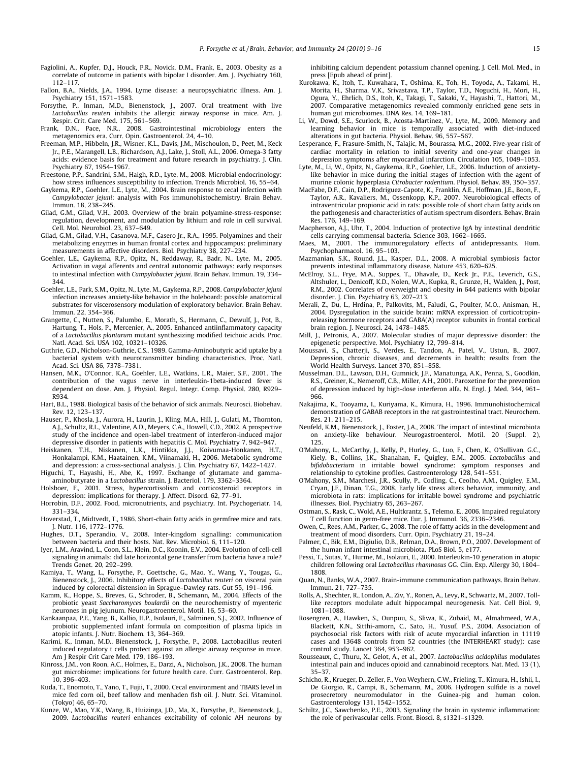- <span id="page-6-0"></span>Fagiolini, A., Kupfer, D.J., Houck, P.R., Novick, D.M., Frank, E., 2003. Obesity as a correlate of outcome in patients with bipolar I disorder. Am. J. Psychiatry 160, 112–117.
- Fallon, B.A., Nields, J.A., 1994. Lyme disease: a neuropsychiatric illness. Am. J. Psychiatry 151, 1571–1583.
- Forsythe, P., Inman, M.D., Bienenstock, J., 2007. Oral treatment with live Lactobacillus reuteri inhibits the allergic airway response in mice. Am. J. Respir. Crit. Care Med. 175, 561–569.
- Frank, D.N., Pace, N.R., 2008. Gastrointestinal microbiology enters the metagenomics era. Curr. Opin. Gastroenterol. 24, 4–10.
- Freeman, M.P., Hibbeln, J.R., Wisner, K.L., Davis, J.M., Mischoulon, D., Peet, M., Keck Jr., P.E., Marangell, L.B., Richardson, A.J., Lake, J., Stoll, A.L., 2006. Omega-3 fatty acids: evidence basis for treatment and future research in psychiatry. J. Clin. Psychiatry 67, 1954–1967.
- Freestone, P.P., Sandrini, S.M., Haigh, R.D., Lyte, M., 2008. Microbial endocrinology: how stress influences susceptibility to infection. Trends Microbiol. 16, 55–64.
- Gaykema, R.P., Goehler, L.E., Lyte, M., 2004. Brain response to cecal infection with Campylobacter jejuni: analysis with Fos immunohistochemistry. Brain Behav. Immun. 18, 238–245.
- Gilad, G.M., Gilad, V.H., 2003. Overview of the brain polyamine-stress-response: regulation, development, and modulation by lithium and role in cell survival. Cell. Mol. Neurobiol. 23, 637–649.
- Gilad, G.M., Gilad, V.H., Casanova, M.F., Casero Jr., R.A., 1995. Polyamines and their metabolizing enzymes in human frontal cortex and hippocampus: preliminary measurements in affective disorders. Biol. Psychiatry 38, 227–234.
- Goehler, L.E., Gaykema, R.P., Opitz, N., Reddaway, R., Badr, N., Lyte, M., 2005. Activation in vagal afferents and central autonomic pathways: early responses to intestinal infection with Campylobacter jejuni. Brain Behav. Immun. 19, 334– 344.
- Goehler, L.E., Park, S.M., Opitz, N., Lyte, M., Gaykema, R.P., 2008. Campylobacter jejuni infection increases anxiety-like behavior in the holeboard: possible anatomical substrates for viscerosensory modulation of exploratory behavior. Brain Behav. Immun. 22, 354–366.
- Grangette, C., Nutten, S., Palumbo, E., Morath, S., Hermann, C., Dewulf, J., Pot, B., Hartung, T., Hols, P., Mercenier, A., 2005. Enhanced antiinflammatory capacity of a Lactobacillus plantarum mutant synthesizing modified teichoic acids. Proc. Natl. Acad. Sci. USA 102, 10321–10326.
- Guthrie, G.D., Nicholson-Guthrie, C.S., 1989. Gamma-Aminobutyric acid uptake by a bacterial system with neurotransmitter binding characteristics. Proc. Natl. Acad. Sci. USA 86, 7378–7381.
- Hansen, M.K., O'Connor, K.A., Goehler, L.E., Watkins, L.R., Maier, S.F., 2001. The contribution of the vagus nerve in interleukin-1beta-induced fever is dependent on dose. Am. J. Physiol. Regul. Integr. Comp. Physiol. 280, R929– R934.
- Hart, B.L., 1988. Biological basis of the behavior of sick animals. Neurosci. Biobehav. Rev. 12, 123–137.
- Hauser, P., Khosla, J., Aurora, H., Laurin, J., Kling, M.A., Hill, J., Gulati, M., Thornton, A.J., Schultz, R.L., Valentine, A.D., Meyers, C.A., Howell, C.D., 2002. A prospective study of the incidence and open-label treatment of interferon-induced major depressive disorder in patients with hepatitis C. Mol. Psychiatry 7, 942–947.
- Heiskanen, T.H., Niskanen, L.K., Hintikka, J.J., Koivumaa-Honkanen, H.T., Honkalampi, K.M., Haatainen, K.M., Viinamaki, H., 2006. Metabolic syndrome and depression: a cross-sectional analysis. J. Clin. Psychiatry 67, 1422–1427.
- Higuchi, T., Hayashi, H., Abe, K., 1997. Exchange of glutamate and gammaaminobutyrate in a Lactobacillus strain. J. Bacteriol. 179, 3362–3364.
- Holsboer, F., 2001. Stress, hypercortisolism and corticosteroid receptors in depression: implications for therapy. J. Affect. Disord. 62, 77–91.
- Horrobin, D.F., 2002. Food, micronutrients, and psychiatry. Int. Psychogeriatr. 14, 331–334.
- Hoverstad, T., Midtvedt, T., 1986. Short-chain fatty acids in germfree mice and rats. J. Nutr. 116, 1772–1776.
- Hughes, D.T., Sperandio, V., 2008. Inter-kingdom signalling: communication between bacteria and their hosts. Nat. Rev. Microbiol. 6, 111–120.
- Iyer, L.M., Aravind, L., Coon, S.L., Klein, D.C., Koonin, E.V., 2004. Evolution of cell-cell signaling in animals: did late horizontal gene transfer from bacteria have a role? Trends Genet. 20, 292–299.
- Kamiya, T., Wang, L., Forsythe, P., Goettsche, G., Mao, Y., Wang, Y., Tougas, G., Bienenstock, J., 2006. Inhibitory effects of Lactobacillus reuteri on visceral pain induced by colorectal distension in Sprague–Dawley rats. Gut 55, 191–196.
- Kamm, K., Hoppe, S., Breves, G., Schroder, B., Schemann, M., 2004. Effects of the probiotic yeast Saccharomyces boulardii on the neurochemistry of myenteric neurones in pig jejunum. Neurogastroenterol. Motil. 16, 53–60.
- Kankaanpaa, P.E., Yang, B., Kallio, H.P., Isolauri, E., Salminen, S.J., 2002. Influence of probiotic supplemented infant formula on composition of plasma lipids in atopic infants. J. Nutr. Biochem. 13, 364–369.
- Karimi, K., Inman, M.D., Bienenstock, J., Forsythe, P., 2008. Lactobacillus reuteri induced regulatory t cells protect against an allergic airway response in mice. Am J Respir Crit Care Med. 179, 186–193.
- Kinross, J.M., von Roon, A.C., Holmes, E., Darzi, A., Nicholson, J.K., 2008. The human gut microbiome: implications for future health care. Curr. Gastroenterol. Rep. 10, 396–403.
- Kuda, T., Enomoto, T., Yano, T., Fujii, T., 2000. Cecal environment and TBARS level in mice fed corn oil, beef tallow and menhaden fish oil. J. Nutr. Sci. Vitaminol. (Tokyo) 46, 65–70.
- Kunze, W., Mao, Y.K., Wang, B., Huizinga, J.D., Ma, X., Forsythe, P., Bienenstock, J., 2009. Lactobacillus reuteri enhances excitability of colonic AH neurons by

inhibiting calcium dependent potassium channel opening. J. Cell. Mol. Med., in press [Epub ahead of print].

- Kurokawa, K., Itoh, T., Kuwahara, T., Oshima, K., Toh, H., Toyoda, A., Takami, H., Morita, H., Sharma, V.K., Srivastava, T.P., Taylor, T.D., Noguchi, H., Mori, H., Ogura, Y., Ehrlich, D.S., Itoh, K., Takagi, T., Sakaki, Y., Hayashi, T., Hattori, M., 2007. Comparative metagenomics revealed commonly enriched gene sets in human gut microbiomes. DNA Res. 14, 169–181.
- Li, W., Dowd, S.E., Scurlock, B., Acosta-Martinez, V., Lyte, M., 2009. Memory and learning behavior in mice is temporally associated with diet-induced alterations in gut bacteria. Physiol. Behav. 96, 557–567.
- Lesperance, F., Frasure-Smith, N., Talajic, M., Bourassa, M.G., 2002. Five-year risk of cardiac mortality in relation to initial severity and one-year changes in depression symptoms after myocardial infarction. Circulation 105, 1049–1053.
- Lyte, M., Li, W., Opitz, N., Gaykema, R.P., Goehler, L.E., 2006. Induction of anxietylike behavior in mice during the initial stages of infection with the agent of murine colonic hyperplasia Citrobacter rodentium. Physiol. Behav. 89, 350–357.
- MacFabe, D.F., Cain, D.P., Rodriguez-Capote, K., Franklin, A.E., Hoffman, J.E., Boon, F., Taylor, A.R., Kavaliers, M., Ossenkopp, K.P., 2007. Neurobiological effects of intraventricular propionic acid in rats: possible role of short chain fatty acids on the pathogenesis and characteristics of autism spectrum disorders. Behav. Brain Res. 176, 149–169.
- Macpherson, A.J., Uhr, T., 2004. Induction of protective IgA by intestinal dendritic cells carrying commensal bacteria. Science 303, 1662–1665.
- Maes, M., 2001. The immunoregulatory effects of antidepressants. Hum. Psychopharmacol. 16, 95–103.
- Mazmanian, S.K., Round, J.L., Kasper, D.L., 2008. A microbial symbiosis factor prevents intestinal inflammatory disease. Nature 453, 620–625.
- McElroy, S.L., Frye, M.A., Suppes, T., Dhavale, D., Keck Jr., P.E., Leverich, G.S., Altshuler, L., Denicoff, K.D., Nolen, W.A., Kupka, R., Grunze, H., Walden, J., Post, R.M., 2002. Correlates of overweight and obesity in 644 patients with bipolar disorder. J. Clin. Psychiatry 63, 207–213.
- Merali, Z., Du, L., Hrdina, P., Palkovits, M., Faludi, G., Poulter, M.O., Anisman, H., 2004. Dysregulation in the suicide brain: mRNA expression of corticotropinreleasing hormone receptors and GABA(A) receptor subunits in frontal cortical brain region. J. Neurosci. 24, 1478–1485.
- Mill, J., Petronis, A., 2007. Molecular studies of major depressive disorder: the epigenetic perspective. Mol. Psychiatry 12, 799–814.
- Moussavi, S., Chatterji, S., Verdes, E., Tandon, A., Patel, V., Ustun, B., 2007. Depression, chronic diseases, and decrements in health: results from the World Health Surveys. Lancet 370, 851–858.
- Musselman, D.L., Lawson, D.H., Gumnick, J.F., Manatunga, A.K., Penna, S., Goodkin, R.S., Greiner, K., Nemeroff, C.B., Miller, A.H., 2001. Paroxetine for the prevention of depression induced by high-dose interferon alfa. N. Engl. J. Med. 344, 961– 966.
- Nakajima, K., Tooyama, I., Kuriyama, K., Kimura, H., 1996. Immunohistochemical demonstration of GABAB receptors in the rat gastrointestinal tract. Neurochem. Res. 21, 211–215.
- Neufeld, K.M., Bienenstock, J., Foster, J.A., 2008. The impact of intestinal microbiota on anxiety-like behaviour. Neurogastroenterol. Motil. 20 (Suppl. 2), 125.
- O'Mahony, L., McCarthy, J., Kelly, P., Hurley, G., Luo, F., Chen, K., O'Sullivan, G.C.<br>Kiely, B., Collins, J.K., Shanahan, F., Quigley, E.M., 2005. *Lactobacillus* and<br>*bifidobacterium* in irritable bowel syndrome: symptom relationship to cytokine profiles. Gastroenterology 128, 541–551.
- O'Mahony, S.M., Marchesi, J.R., Scully, P., Codling, C., Ceolho, A.M., Quigley, E.M., Cryan, J.F., Dinan, T.G., 2008. Early life stress alters behavior, immunity, and microbiota in rats: implications for irritable bowel syndrome and psychiatric illnesses. Biol. Psychiatry 65, 263–267.
- Ostman, S., Rask, C., Wold, A.E., Hultkrantz, S., Telemo, E., 2006. Impaired regulatory T cell function in germ-free mice. Eur. J. Immunol. 36, 2336–2346.
- Owen, C., Rees, A.M., Parker, G., 2008. The role of fatty acids in the development and treatment of mood disorders. Curr. Opin. Psychiatry 21, 19–24.
- Palmer, C., Bik, E.M., Digiulio, D.B., Relman, D.A., Brown, P.O., 2007. Development of the human infant intestinal microbiota. PLoS Biol. 5, e177.
- Pessi, T., Sutas, Y., Hurme, M., Isolauri, E., 2000. Interleukin-10 generation in atopic children following oral Lactobacillus rhamnosus GG. Clin. Exp. Allergy 30, 1804– 1808.
- Quan, N., Banks, W.A., 2007. Brain-immune communication pathways. Brain Behav. Immun. 21, 727–735.
- Rolls, A., Shechter, R., London, A., Ziv, Y., Ronen, A., Levy, R., Schwartz, M., 2007. Tolllike receptors modulate adult hippocampal neurogenesis. Nat. Cell Biol. 9, 1081–1088.
- Rosengren, A., Hawken, S., Ounpuu, S., Sliwa, K., Zubaid, M., Almahmeed, W.A., Blackett, K.N., Sitthi-amorn, C., Sato, H., Yusuf, P.S., 2004. Association of psychosocial risk factors with risk of acute myocardial infarction in 11119 cases and 13648 controls from 52 countries (the INTERHEART study): case control study. Lancet 364, 953–962.
- Rousseaux, C., Thuru, X., Gelot, A., et al., 2007. Lactobacillus acidophilus modulates intestinal pain and induces opioid and cannabinoid receptors. Nat. Med. 13 (1), 35–37.
- Schicho, R., Krueger, D., Zeller, F., Von Weyhern, C.W., Frieling, T., Kimura, H., Ishii, I., De Giorgio, R., Campi, B., Schemann, M., 2006. Hydrogen sulfide is a novel prosecretory neuromodulator in the Guinea-pig and human colon. Gastroenterology 131, 1542–1552.
- Schiltz, J.C., Sawchenko, P.E., 2003. Signaling the brain in systemic inflammation: the role of perivascular cells. Front. Biosci. 8, s1321–s1329.